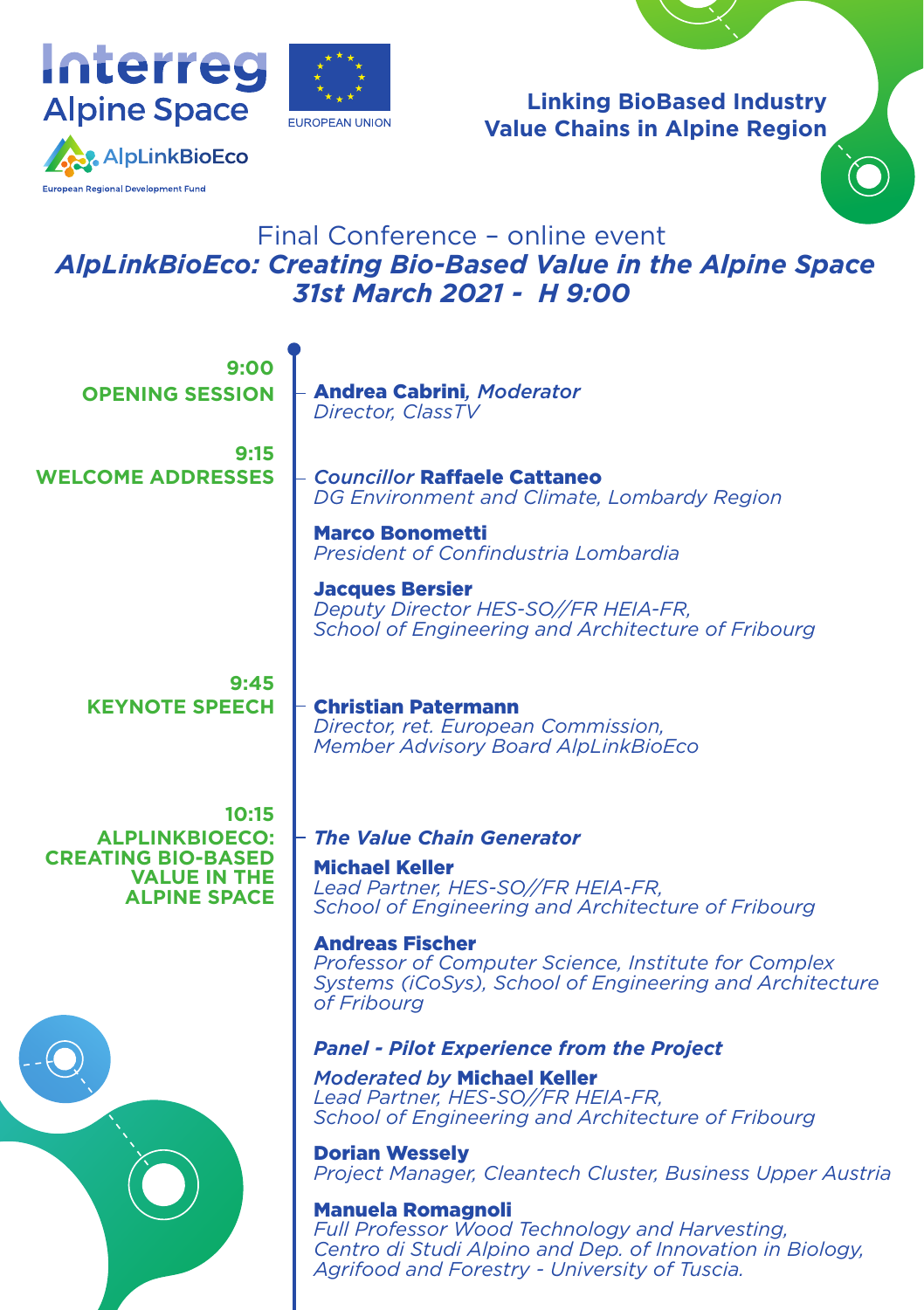



**Linking BioBased Industry Value Chains in Alpine Region**

## Final Conference – online event  *AlpLinkBioEco: Creating Bio-Based Value in the Alpine Space 31st March 2021 - H 9:00*

| 9:00<br><b>OPENING SESSION</b>                                                                            | <b>Andrea Cabrini, Moderator</b><br><b>Director, ClassTV</b>                                                                                                                             |
|-----------------------------------------------------------------------------------------------------------|------------------------------------------------------------------------------------------------------------------------------------------------------------------------------------------|
| 9:15<br><b>WELCOME ADDRESSES</b>                                                                          | <b>Councillor Raffaele Cattaneo</b><br>DG Environment and Climate, Lombardy Region                                                                                                       |
|                                                                                                           | <b>Marco Bonometti</b><br>President of Confindustria Lombardia                                                                                                                           |
|                                                                                                           | <b>Jacques Bersier</b><br>Deputy Director HES-SO//FR HEIA-FR,<br>School of Engineering and Architecture of Fribourg                                                                      |
| 9:45<br><b>KEYNOTE SPEECH</b>                                                                             | <b>Christian Patermann</b><br>Director, ret. European Commission,<br><b>Member Advisory Board AlpLinkBioEco</b>                                                                          |
| 10:15<br><b>ALPLINKBIOECO:</b><br><b>CREATING BIO-BASED</b><br><b>VALUE IN THE</b><br><b>ALPINE SPACE</b> | <b>The Value Chain Generator</b><br><b>Michael Keller</b><br>Lead Partner, HES-SO//FR HEIA-FR,<br>School of Engineering and Architecture of Fribourg                                     |
|                                                                                                           | <b>Andreas Fischer</b><br>Professor of Computer Science, Institute for Complex<br>Systems (iCoSys), School of Engineering and Architecture<br>of Fribourg                                |
|                                                                                                           | <b>Panel - Pilot Experience from the Project</b>                                                                                                                                         |
|                                                                                                           | <b>Moderated by Michael Keller</b><br>Lead Partner, HES-SO//FR HEIA-FR,<br>School of Engineering and Architecture of Fribourg                                                            |
|                                                                                                           | <b>Dorian Wesselv</b><br>Project Manager, Cleantech Cluster, Business Upper Austria                                                                                                      |
|                                                                                                           | <b>Manuela Romagnoli</b><br>Full Professor Wood Technology and Harvesting,<br>Centro di Studi Alpino and Dep. of Innovation in Biology,<br>Agrifood and Forestry - University of Tuscia. |